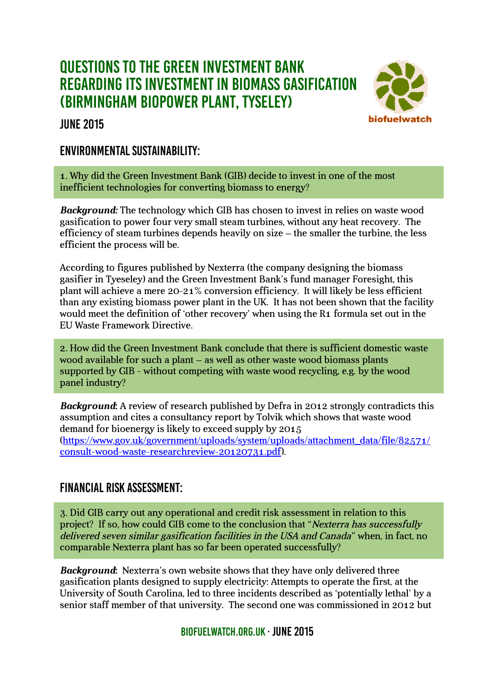# Questions to the Green Investment Bank regarding its investment in biomass gasification (Birmingham BioPower Plant, Tyseley)

### june 2015



## Environmental Sustainability:

1. Why did the Green Investment Bank (GIB) decide to invest in one of the most inefficient technologies for converting biomass to energy?

*Background:* The technology which GIB has chosen to invest in relies on waste wood gasification to power four very small steam turbines, without any heat recovery. The efficiency of steam turbines depends heavily on size – the smaller the turbine, the less efficient the process will be.

According to figures published by Nexterra (the company designing the biomass gasifier in Tyeseley) and the Green Investment Bank's fund manager Foresight, this plant will achieve a mere 20-21% conversion efficiency. It will likely be less efficient than any existing biomass power plant in the UK. It has not been shown that the facility would meet the definition of 'other recovery' when using the R1 formula set out in the EU Waste Framework Directive.

2. How did the Green Investment Bank conclude that there is sufficient domestic waste wood available for such a plant – as well as other waste wood biomass plants supported by GIB - without competing with waste wood recycling, e.g. by the wood panel industry?

*Background***:** A review of research published by Defra in 2012 strongly contradicts this assumption and cites a consultancy report by Tolvik which shows that waste wood demand for bioenergy is likely to exceed supply by 2015 [\(https://www.gov.uk/government/uploads/system/uploads/attachment\\_data/file/82571/](https://www.gov.uk/government/uploads/system/uploads/attachment_data/file/82571/consult-wood-waste-researchreview-20120731.pdf) [consult-wood-waste-researchreview-20120731.pdf\)](https://www.gov.uk/government/uploads/system/uploads/attachment_data/file/82571/consult-wood-waste-researchreview-20120731.pdf).

# Financial risk assessment:

3. Did GIB carry out any operational and credit risk assessment in relation to this project? If so, how could GIB come to the conclusion that "Nexterra has successfully delivered seven similar gasification facilities in the USA and Canada" when, in fact, no comparable Nexterra plant has so far been operated successfully?

*Background***:** Nexterra's own website shows that they have only delivered three gasification plants designed to supply electricity: Attempts to operate the first, at the University of South Carolina, led to three incidents described as 'potentially lethal' by a senior staff member of that university. The second one was commissioned in 2012 but

BIOFUELWATCH ORG.UK · JUNE 2015